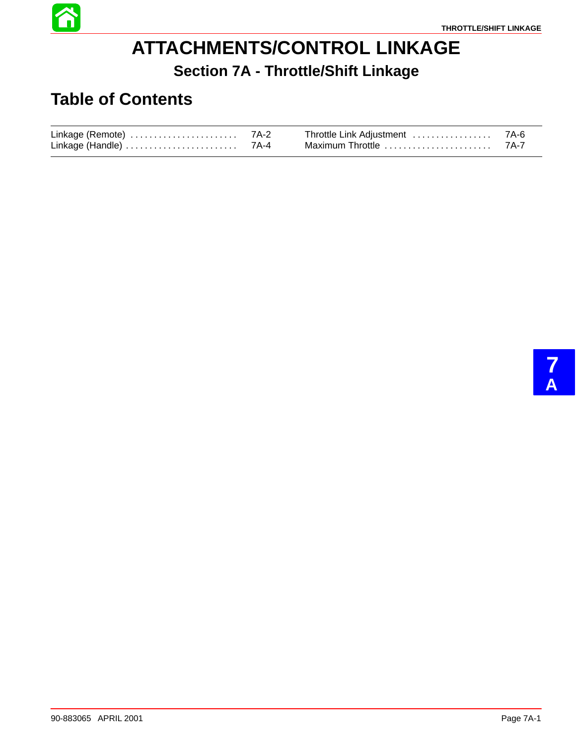

## **ATTACHMENTS/CONTROL LINKAGE Section 7A - Throttle/Shift Linkage**

#### **Table of Contents**

| Linkage (Remote) | 7A-2 | Throttle Link Adjustment | 7A-6 |
|------------------|------|--------------------------|------|
| Linkage (Handle) | 7A-4 | Maximum Throttle         | 7A-7 |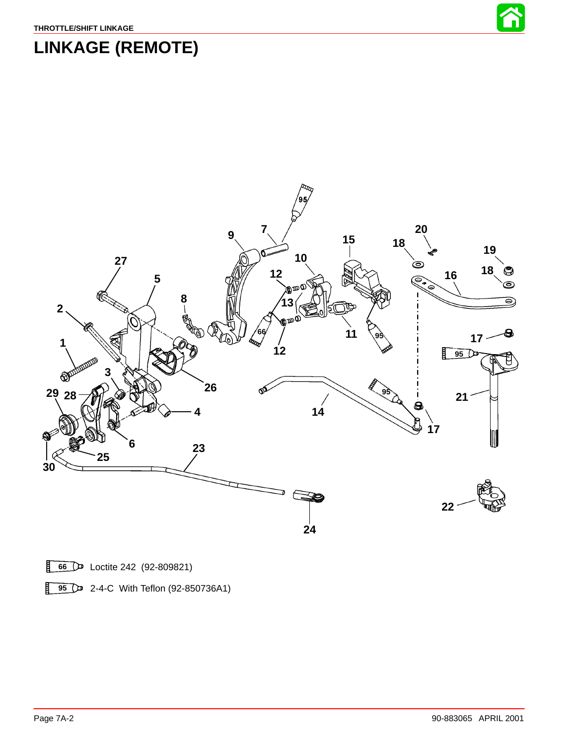

# **LINKAGE (REMOTE)**



Loctite 242 (92-809821)

**2-4-C** With Teflon (92-850736A1)

盯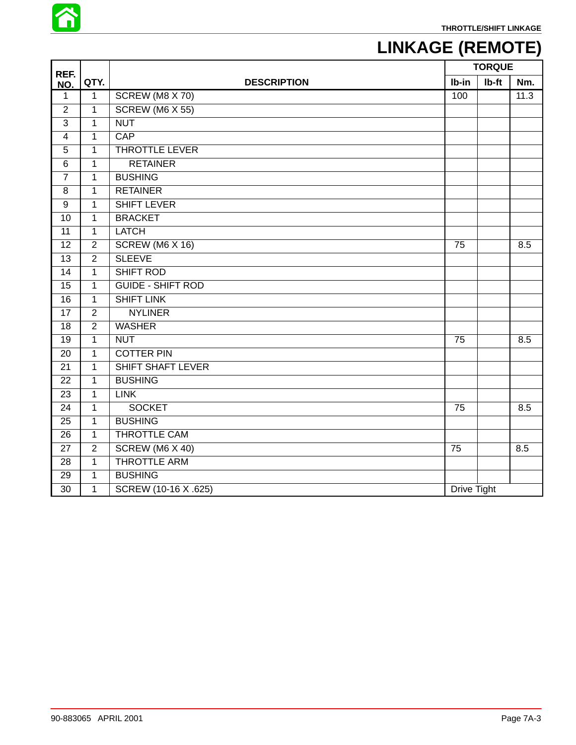

## **LINKAGE (REMOTE)**

| REF.                    |                |                          | <b>TORQUE</b>      |       |      |
|-------------------------|----------------|--------------------------|--------------------|-------|------|
| NO.                     | QTY.           | <b>DESCRIPTION</b>       | Ib-in              | Ib-ft | Nm.  |
| 1                       | $\mathbf{1}$   | SCREW (M8 X 70)          | 100                |       | 11.3 |
| $\overline{2}$          | $\overline{1}$ | SCREW (M6 X 55)          |                    |       |      |
| 3                       | $\mathbf{1}$   | <b>NUT</b>               |                    |       |      |
| $\overline{\mathbf{4}}$ | $\mathbf{1}$   | <b>CAP</b>               |                    |       |      |
| 5                       | $\mathbf{1}$   | <b>THROTTLE LEVER</b>    |                    |       |      |
| $\,6$                   | $\mathbf{1}$   | <b>RETAINER</b>          |                    |       |      |
| $\overline{7}$          | $\mathbf{1}$   | <b>BUSHING</b>           |                    |       |      |
| 8                       | $\mathbf{1}$   | <b>RETAINER</b>          |                    |       |      |
| 9                       | $\mathbf{1}$   | <b>SHIFT LEVER</b>       |                    |       |      |
| 10                      | $\mathbf{1}$   | <b>BRACKET</b>           |                    |       |      |
| $\overline{11}$         | $\overline{1}$ | <b>LATCH</b>             |                    |       |      |
| 12                      | $\sqrt{2}$     | SCREW (M6 X 16)          | 75                 |       | 8.5  |
| 13                      | $\overline{2}$ | <b>SLEEVE</b>            |                    |       |      |
| 14                      | $\mathbf{1}$   | SHIFT ROD                |                    |       |      |
| 15                      | $\mathbf{1}$   | <b>GUIDE - SHIFT ROD</b> |                    |       |      |
| 16                      | $\mathbf{1}$   | <b>SHIFT LINK</b>        |                    |       |      |
| 17                      | 2              | <b>NYLINER</b>           |                    |       |      |
| $\overline{18}$         | $\overline{2}$ | <b>WASHER</b>            |                    |       |      |
| 19                      | $\mathbf{1}$   | <b>NUT</b>               | 75                 |       | 8.5  |
| 20                      | $\mathbf{1}$   | <b>COTTER PIN</b>        |                    |       |      |
| $\overline{21}$         | $\mathbf{1}$   | <b>SHIFT SHAFT LEVER</b> |                    |       |      |
| 22                      | $\mathbf{1}$   | <b>BUSHING</b>           |                    |       |      |
| 23                      | $\mathbf{1}$   | <b>LINK</b>              |                    |       |      |
| 24                      | $\mathbf{1}$   | <b>SOCKET</b>            | 75                 |       | 8.5  |
| 25                      | $\mathbf{1}$   | <b>BUSHING</b>           |                    |       |      |
| 26                      | $\mathbf 1$    | THROTTLE CAM             |                    |       |      |
| 27                      | $\overline{2}$ | SCREW (M6 X 40)          | 75                 |       | 8.5  |
| 28                      | $\mathbf{1}$   | <b>THROTTLE ARM</b>      |                    |       |      |
| 29                      | $\mathbf{1}$   | <b>BUSHING</b>           |                    |       |      |
| 30                      | $\mathbf{1}$   | SCREW (10-16 X .625)     | <b>Drive Tight</b> |       |      |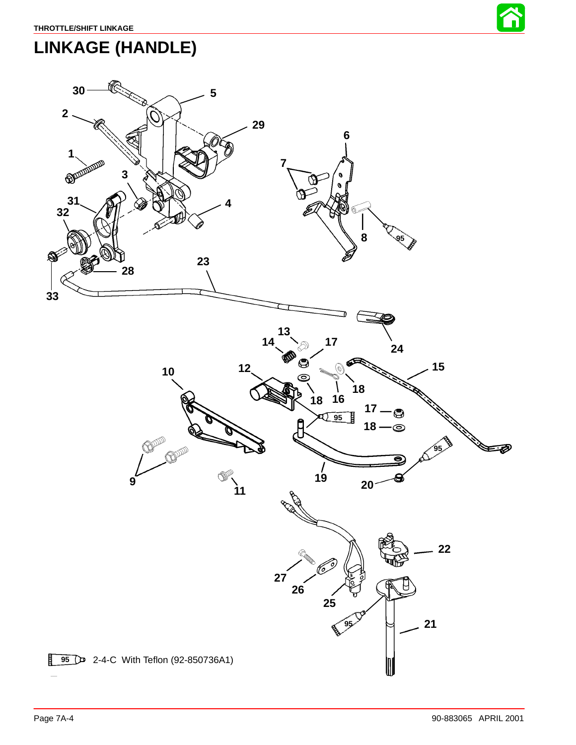

### <span id="page-3-0"></span>**LINKAGE (HANDLE)**

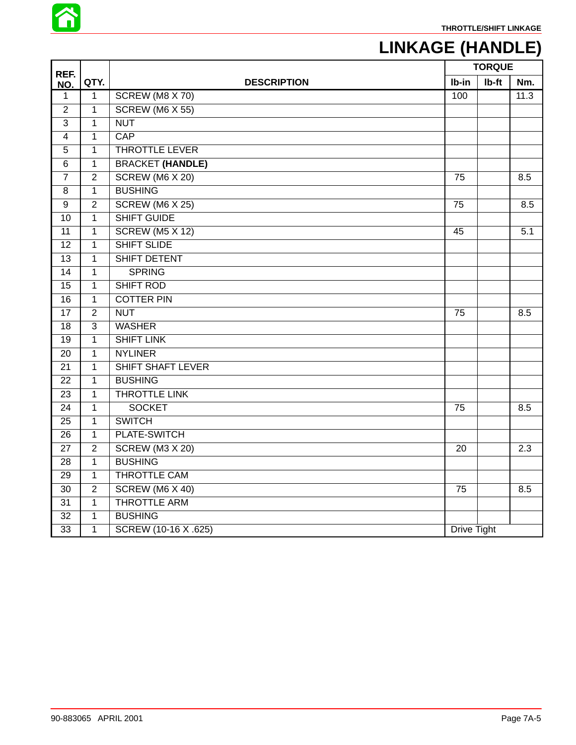

# **LINKAGE (HANDLE)**

| REF.                    |                |                         |             | <b>TORQUE</b> |      |
|-------------------------|----------------|-------------------------|-------------|---------------|------|
| NO.                     | QTY.           | <b>DESCRIPTION</b>      | Ib-in       | Ib-ft         | Nm.  |
| 1                       | $\mathbf{1}$   | SCREW (M8 X 70)         | 100         |               | 11.3 |
| $\overline{2}$          | $\mathbf{1}$   | <b>SCREW (M6 X 55)</b>  |             |               |      |
| $\overline{3}$          | $\mathbf{1}$   | <b>NUT</b>              |             |               |      |
| $\overline{\mathbf{4}}$ | $\mathbf{1}$   | <b>CAP</b>              |             |               |      |
| 5                       | $\mathbf{1}$   | <b>THROTTLE LEVER</b>   |             |               |      |
| 6                       | $\mathbf 1$    | <b>BRACKET (HANDLE)</b> |             |               |      |
| $\overline{7}$          | $\overline{2}$ | SCREW (M6 X 20)         | 75          |               | 8.5  |
| 8                       | $\mathbf{1}$   | <b>BUSHING</b>          |             |               |      |
| $\boldsymbol{9}$        | $\overline{2}$ | SCREW (M6 X 25)         | 75          |               | 8.5  |
| 10                      | $\mathbf{1}$   | <b>SHIFT GUIDE</b>      |             |               |      |
| 11                      | $\mathbf{1}$   | <b>SCREW (M5 X 12)</b>  | 45          |               | 5.1  |
| 12                      | $\mathbf{1}$   | <b>SHIFT SLIDE</b>      |             |               |      |
| $\overline{13}$         | $\mathbf 1$    | SHIFT DETENT            |             |               |      |
| $\overline{14}$         | $\mathbf{1}$   | <b>SPRING</b>           |             |               |      |
| 15                      | $\mathbf{1}$   | <b>SHIFT ROD</b>        |             |               |      |
| 16                      | $\mathbf{1}$   | <b>COTTER PIN</b>       |             |               |      |
| 17                      | $\overline{2}$ | <b>NUT</b>              | 75          |               | 8.5  |
| 18                      | $\overline{3}$ | <b>WASHER</b>           |             |               |      |
| 19                      | $\mathbf{1}$   | <b>SHIFT LINK</b>       |             |               |      |
| 20                      | $\mathbf{1}$   | <b>NYLINER</b>          |             |               |      |
| 21                      | $\mathbf{1}$   | SHIFT SHAFT LEVER       |             |               |      |
| 22                      | $\mathbf{1}$   | <b>BUSHING</b>          |             |               |      |
| 23                      | $\mathbf{1}$   | <b>THROTTLE LINK</b>    |             |               |      |
| $\overline{24}$         | $\mathbf{1}$   | <b>SOCKET</b>           | 75          |               | 8.5  |
| $\overline{25}$         | $\mathbf{1}$   | <b>SWITCH</b>           |             |               |      |
| 26                      | $\mathbf{1}$   | PLATE-SWITCH            |             |               |      |
| $\overline{27}$         | $\overline{2}$ | <b>SCREW (M3 X 20)</b>  | 20          |               | 2.3  |
| 28                      | $\mathbf{1}$   | <b>BUSHING</b>          |             |               |      |
| 29                      | $\mathbf{1}$   | <b>THROTTLE CAM</b>     |             |               |      |
| 30                      | $\overline{2}$ | SCREW (M6 X 40)         | 75          |               | 8.5  |
| 31                      | $\mathbf{1}$   | <b>THROTTLE ARM</b>     |             |               |      |
| $\overline{32}$         | $\mathbf{1}$   | <b>BUSHING</b>          |             |               |      |
| 33                      | $\mathbf{1}$   | SCREW (10-16 X .625)    | Drive Tight |               |      |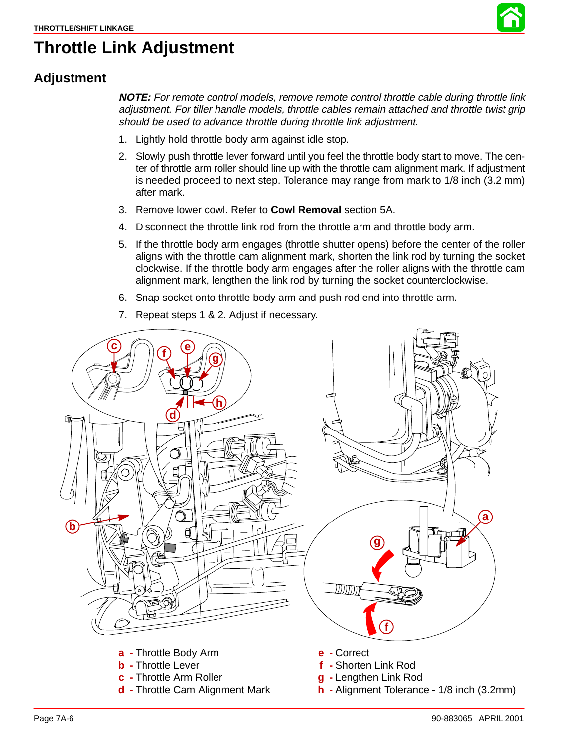

### **Throttle Link Adjustment**

#### **Adjustment**

**NOTE:** For remote control models, remove remote control throttle cable during throttle link adjustment. For tiller handle models, throttle cables remain attached and throttle twist grip should be used to advance throttle during throttle link adjustment.

- 1. Lightly hold throttle body arm against idle stop.
- 2. Slowly push throttle lever forward until you feel the throttle body start to move. The center of throttle arm roller should line up with the throttle cam alignment mark. If adjustment is needed proceed to next step. Tolerance may range from mark to 1/8 inch (3.2 mm) after mark.
- 3. Remove lower cowl. Refer to **Cowl Removal** section 5A.
- 4. Disconnect the throttle link rod from the throttle arm and throttle body arm.
- 5. If the throttle body arm engages (throttle shutter opens) before the center of the roller aligns with the throttle cam alignment mark, shorten the link rod by turning the socket clockwise. If the throttle body arm engages after the roller aligns with the throttle cam alignment mark, lengthen the link rod by turning the socket counterclockwise.
- 6. Snap socket onto throttle body arm and push rod end into throttle arm.
- 7. Repeat steps 1 & 2. Adjust if necessary.